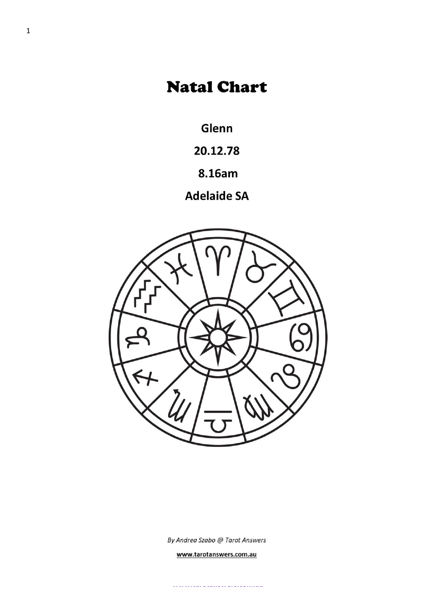# **Natal Chart**

Glenn

20.12.78

8.16am

**Adelaide SA** 



By Andrea Szabo @ Tarot Answers

www.tarotanswers.com.au

*www.tarotanswers.com.au*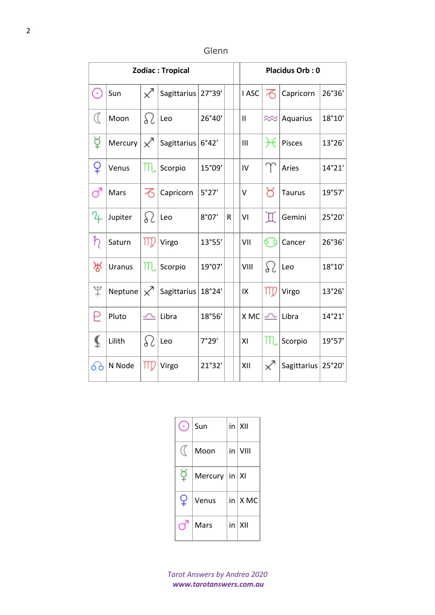| i<br>×<br>×<br>٠ |
|------------------|
|------------------|

| Zodiac: Tropical |         |    |             |        |              | <b>Placidus Orb: 0</b> |              |               |        |
|------------------|---------|----|-------------|--------|--------------|------------------------|--------------|---------------|--------|
| $(\cdot)$        | Sun     | ⋌  | Sagittarius | 27°39' |              | I ASC                  |              | Capricorn     | 26°36' |
| ☾                | Moon    | sδ | Leo         | 26°40' |              | Ш                      | ≈≈           | Aquarius      | 18°10' |
| ₫                | Mercury | ⋌  | Sagittarius | 6°42'  |              | Ш                      | $_{\rm \#}$  | Pisces        | 13°26' |
| ¥                | Venus   | m. | Scorpio     | 15°09' |              | IV                     |              | Aries         | 14°21' |
| ර`               | Mars    | る  | Capricorn   | 5°27'  |              | V                      | ರ            | <b>Taurus</b> | 19°57' |
| $\mathfrak{p}_+$ | Jupiter | 85 | Leo         | 8°07'  | $\mathsf{R}$ | VI                     | $\mathbb{I}$ | Gemini        | 25°20' |
| $\hbar$          | Saturn  | mp | Virgo       | 13°55' |              | VII                    | 6ò,          | Cancer        | 26°36' |
| ઋ                | Uranus  | Н  | Scorpio     | 19°07' |              | VIII                   | 85           | Leo           | 18°10' |
| Ψ                | Neptune | ⋌  | Sagittarius | 18°24' |              | IX                     | my           | Virgo         | 13°26' |
| Р                | Pluto   |    | Libra       | 18°56' |              | X MC                   | ᅀ            | Libra         | 14°21' |
| Ţ                | Lilith  | sδ | Leo         | 7°29'  |              | XI                     | m            | Scorpio       | 19°57' |
| 66               | N Node  | πy | Virgo       | 21°32' |              | XII                    | ⋌            | Sagittarius   | 25°20' |

|  | Sun     | in  | ∣XII  |
|--|---------|-----|-------|
|  | Moon    | in  | VIII  |
|  | Mercury | in  | XI    |
|  | Venus   | in. | IX MC |
|  | Mars    | in  | XII   |

*Tarot Answers by Andrea 2020 www.tarotanswers.com.au*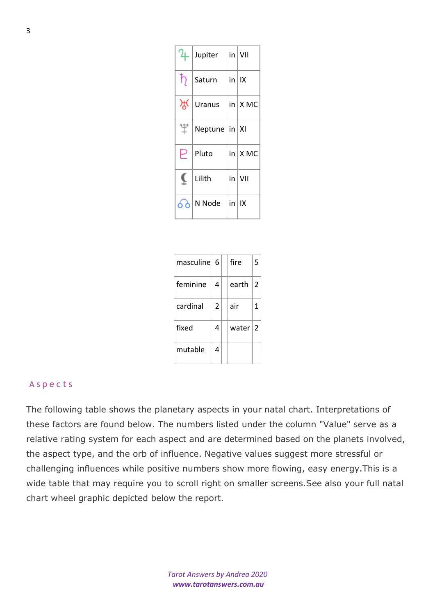|     | $2 \mid$ Jupiter  |    | $\frac{1}{2}$ in $\frac{1}{2}$ VII |
|-----|-------------------|----|------------------------------------|
| ħ   | Saturn            | in | IX                                 |
| ਲ੍ਹ | Uranus            |    | in $ X$ MC                         |
| ¥   | Neptune   in   XI |    |                                    |
| Р   | Pluto             |    | in $X$ MC                          |
| Ļ   | Lilith            | in | VII                                |
| ୫୨  | N Node            | in | IX                                 |

| masculine | 6 | fire  | 5              |
|-----------|---|-------|----------------|
| feminine  | 4 | earth | $\overline{2}$ |
| cardinal  | 2 | air   | 1              |
| fixed     | 4 | water | $\overline{2}$ |
| mutable   | 4 |       |                |

#### A s p e c t s

The following table shows the planetary aspects in your natal chart. Interpretations of these factors are found below. The numbers listed under the column "Value" serve as a relative rating system for each aspect and are determined based on the planets involved, the aspect type, and the orb of influence. Negative values suggest more stressful or challenging influences while positive numbers show more flowing, easy energy.This is a wide table that may require you to scroll right on smaller screens.See also your full natal chart wheel graphic depicted below the report.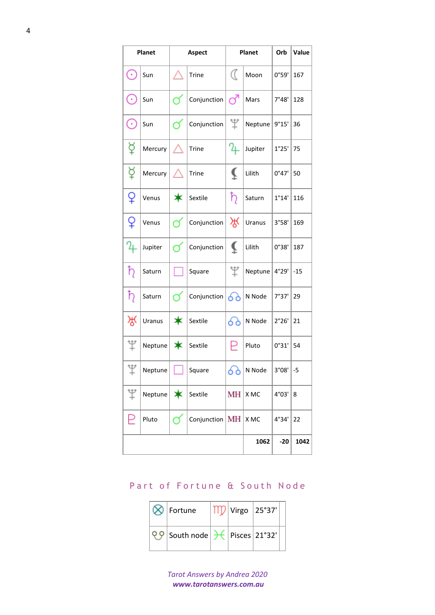| Planet    |         | <b>Aspect</b> |                | Planet              |         | Orb   | Value |
|-----------|---------|---------------|----------------|---------------------|---------|-------|-------|
| $(\cdot)$ | Sun     |               | <b>Trine</b>   | ☾                   | Moon    | 0°59' | 167   |
| $(\cdot)$ | Sun     |               | Conjunction    | ൪                   | Mars    | 7°48' | 128   |
| $\odot$   | Sun     |               | Conjunction    | ¥                   | Neptune | 9°15' | 36    |
| ₫         | Mercury |               | <b>Trine</b>   | ֏                   | Jupiter | 1°25' | 75    |
| ₫         | Mercury |               | <b>Trine</b>   | ₹                   | Lilith  | 0°47' | 50    |
| ¥         | Venus   | ∗             | Sextile        | $\boldsymbol{\eta}$ | Saturn  | 1°14' | 116   |
| ¥         | Venus   | σ             | Conjunction    | ਲ੍ਹ                 | Uranus  | 3°58' | 169   |
| 2         | Jupiter | σ             | Conjunction    | Ţ                   | Lilith  | 0°38' | 187   |
| $\hbar$   | Saturn  |               | Square         | ¥                   | Neptune | 4°29' | $-15$ |
| $\hbar$   | Saturn  | σ             | Conjunction    | 6 ò                 | N Node  | 7°37' | 29    |
| ਮੂ(       | Uranus  | ∗             | Sextile        | 6 ბ                 | N Node  | 2°26' | 21    |
| ¥         | Neptune | ∗             | Sextile        | Р                   | Pluto   | 0°31' | 54    |
| Y         | Neptune |               | Square         | 6 ბ                 | N Node  | 3°08' | $-5$  |
|           | Neptune | ∗             | Sextile        | MH                  | X MC    | 4°03' | 8     |
|           | Pluto   |               | Conjunction MH |                     | X MC    | 4°34' | 22    |
|           |         |               |                | 1062                | $-20$   | 1042  |       |

# Part of Fortune & South Node

| ∞ | Fortune                                               |  | $\sqrt{\text{Virgo}}$ 25°37' |  |
|---|-------------------------------------------------------|--|------------------------------|--|
|   | South node $\left  \frac{1}{2} \right $ Pisces 21°32' |  |                              |  |

*Tarot Answers by Andrea 2020 www.tarotanswers.com.au*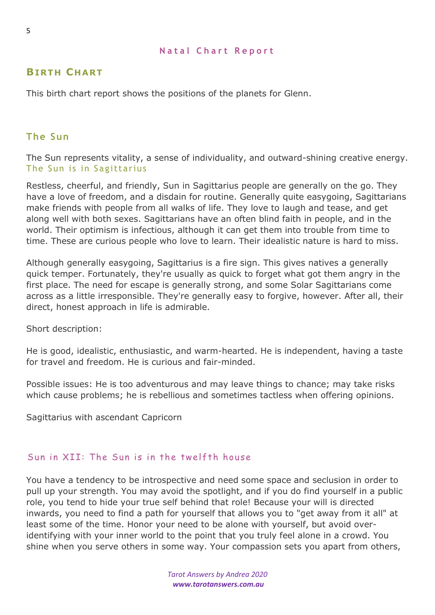#### **N a t a l C h a r t R e p o r t**

# **BIRTH CH ART**

This birth chart report shows the positions of the planets for Glenn.

## **The Sun**

The Sun represents vitality, a sense of individuality, and outward-shining creative energy. The Sun is in Sagittarius

Restless, cheerful, and friendly, Sun in Sagittarius people are generally on the go. They have a love of freedom, and a disdain for routine. Generally quite easygoing, Sagittarians make friends with people from all walks of life. They love to laugh and tease, and get along well with both sexes. Sagittarians have an often blind faith in people, and in the world. Their optimism is infectious, although it can get them into trouble from time to time. These are curious people who love to learn. Their idealistic nature is hard to miss.

Although generally easygoing, Sagittarius is a fire sign. This gives natives a generally quick temper. Fortunately, they're usually as quick to forget what got them angry in the first place. The need for escape is generally strong, and some Solar Sagittarians come across as a little irresponsible. They're generally easy to forgive, however. After all, their direct, honest approach in life is admirable.

Short description:

He is good, idealistic, enthusiastic, and warm-hearted. He is independent, having a taste for travel and freedom. He is curious and fair-minded.

Possible issues: He is too adventurous and may leave things to chance; may take risks which cause problems; he is rebellious and sometimes tactless when offering opinions.

Sagittarius with ascendant Capricorn

## Sun in XII: The Sun is in the twelfth house

You have a tendency to be introspective and need some space and seclusion in order to pull up your strength. You may avoid the spotlight, and if you do find yourself in a public role, you tend to hide your true self behind that role! Because your will is directed inwards, you need to find a path for yourself that allows you to "get away from it all" at least some of the time. Honor your need to be alone with yourself, but avoid overidentifying with your inner world to the point that you truly feel alone in a crowd. You shine when you serve others in some way. Your compassion sets you apart from others,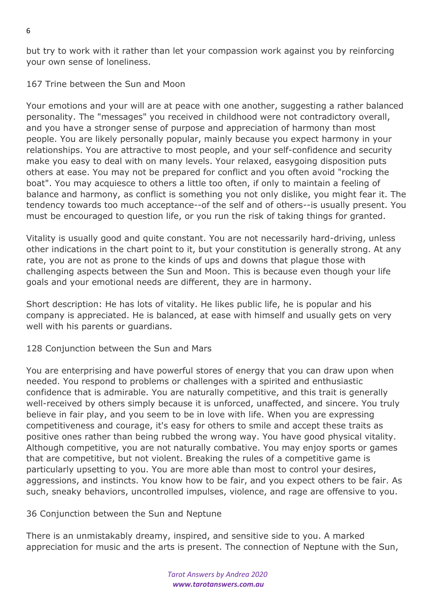but try to work with it rather than let your compassion work against you by reinforcing your own sense of loneliness.

167 Trine between the Sun and Moon

Your emotions and your will are at peace with one another, suggesting a rather balanced personality. The "messages" you received in childhood were not contradictory overall, and you have a stronger sense of purpose and appreciation of harmony than most people. You are likely personally popular, mainly because you expect harmony in your relationships. You are attractive to most people, and your self-confidence and security make you easy to deal with on many levels. Your relaxed, easygoing disposition puts others at ease. You may not be prepared for conflict and you often avoid "rocking the boat". You may acquiesce to others a little too often, if only to maintain a feeling of balance and harmony, as conflict is something you not only dislike, you might fear it. The tendency towards too much acceptance--of the self and of others--is usually present. You must be encouraged to question life, or you run the risk of taking things for granted.

Vitality is usually good and quite constant. You are not necessarily hard-driving, unless other indications in the chart point to it, but your constitution is generally strong. At any rate, you are not as prone to the kinds of ups and downs that plague those with challenging aspects between the Sun and Moon. This is because even though your life goals and your emotional needs are different, they are in harmony.

Short description: He has lots of vitality. He likes public life, he is popular and his company is appreciated. He is balanced, at ease with himself and usually gets on very well with his parents or guardians.

128 Conjunction between the Sun and Mars

You are enterprising and have powerful stores of energy that you can draw upon when needed. You respond to problems or challenges with a spirited and enthusiastic confidence that is admirable. You are naturally competitive, and this trait is generally well-received by others simply because it is unforced, unaffected, and sincere. You truly believe in fair play, and you seem to be in love with life. When you are expressing competitiveness and courage, it's easy for others to smile and accept these traits as positive ones rather than being rubbed the wrong way. You have good physical vitality. Although competitive, you are not naturally combative. You may enjoy sports or games that are competitive, but not violent. Breaking the rules of a competitive game is particularly upsetting to you. You are more able than most to control your desires, aggressions, and instincts. You know how to be fair, and you expect others to be fair. As such, sneaky behaviors, uncontrolled impulses, violence, and rage are offensive to you.

36 Conjunction between the Sun and Neptune

There is an unmistakably dreamy, inspired, and sensitive side to you. A marked appreciation for music and the arts is present. The connection of Neptune with the Sun,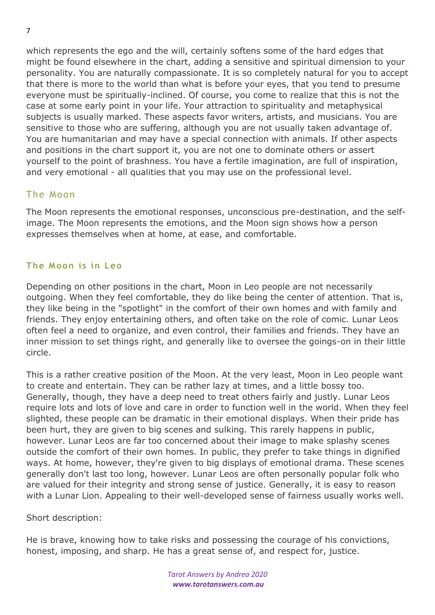7

which represents the ego and the will, certainly softens some of the hard edges that might be found elsewhere in the chart, adding a sensitive and spiritual dimension to your personality. You are naturally compassionate. It is so completely natural for you to accept that there is more to the world than what is before your eyes, that you tend to presume everyone must be spiritually-inclined. Of course, you come to realize that this is not the case at some early point in your life. Your attraction to spirituality and metaphysical subjects is usually marked. These aspects favor writers, artists, and musicians. You are sensitive to those who are suffering, although you are not usually taken advantage of. You are humanitarian and may have a special connection with animals. If other aspects and positions in the chart support it, you are not one to dominate others or assert yourself to the point of brashness. You have a fertile imagination, are full of inspiration, and very emotional - all qualities that you may use on the professional level.

# The Moon

The Moon represents the emotional responses, unconscious pre-destination, and the selfimage. The Moon represents the emotions, and the Moon sign shows how a person expresses themselves when at home, at ease, and comfortable.

# **The Moon is in Leo**

Depending on other positions in the chart, Moon in Leo people are not necessarily outgoing. When they feel comfortable, they do like being the center of attention. That is, they like being in the "spotlight" in the comfort of their own homes and with family and friends. They enjoy entertaining others, and often take on the role of comic. Lunar Leos often feel a need to organize, and even control, their families and friends. They have an inner mission to set things right, and generally like to oversee the goings-on in their little circle.

This is a rather creative position of the Moon. At the very least, Moon in Leo people want to create and entertain. They can be rather lazy at times, and a little bossy too. Generally, though, they have a deep need to treat others fairly and justly. Lunar Leos require lots and lots of love and care in order to function well in the world. When they feel slighted, these people can be dramatic in their emotional displays. When their pride has been hurt, they are given to big scenes and sulking. This rarely happens in public, however. Lunar Leos are far too concerned about their image to make splashy scenes outside the comfort of their own homes. In public, they prefer to take things in dignified ways. At home, however, they're given to big displays of emotional drama. These scenes generally don't last too long, however. Lunar Leos are often personally popular folk who are valued for their integrity and strong sense of justice. Generally, it is easy to reason with a Lunar Lion. Appealing to their well-developed sense of fairness usually works well.

## Short description:

He is brave, knowing how to take risks and possessing the courage of his convictions, honest, imposing, and sharp. He has a great sense of, and respect for, justice.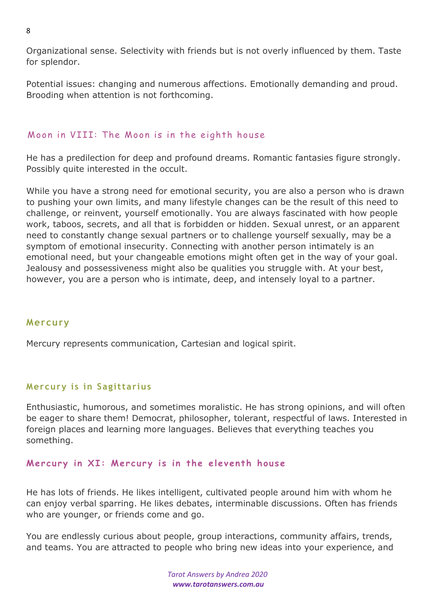Organizational sense. Selectivity with friends but is not overly influenced by them. Taste for splendor.

Potential issues: changing and numerous affections. Emotionally demanding and proud. Brooding when attention is not forthcoming.

## Moon in VIII: The Moon is in the eighth house

He has a predilection for deep and profound dreams. Romantic fantasies figure strongly. Possibly quite interested in the occult.

While you have a strong need for emotional security, you are also a person who is drawn to pushing your own limits, and many lifestyle changes can be the result of this need to challenge, or reinvent, yourself emotionally. You are always fascinated with how people work, taboos, secrets, and all that is forbidden or hidden. Sexual unrest, or an apparent need to constantly change sexual partners or to challenge yourself sexually, may be a symptom of emotional insecurity. Connecting with another person intimately is an emotional need, but your changeable emotions might often get in the way of your goal. Jealousy and possessiveness might also be qualities you struggle with. At your best, however, you are a person who is intimate, deep, and intensely loyal to a partner.

## **Mercury**

Mercury represents communication, Cartesian and logical spirit.

## **Mercury is in Sagittarius**

Enthusiastic, humorous, and sometimes moralistic. He has strong opinions, and will often be eager to share them! Democrat, philosopher, tolerant, respectful of laws. Interested in foreign places and learning more languages. Believes that everything teaches you something.

#### **Mercury in XI: Mercury is in the eleventh house**

He has lots of friends. He likes intelligent, cultivated people around him with whom he can enjoy verbal sparring. He likes debates, interminable discussions. Often has friends who are younger, or friends come and go.

You are endlessly curious about people, group interactions, community affairs, trends, and teams. You are attracted to people who bring new ideas into your experience, and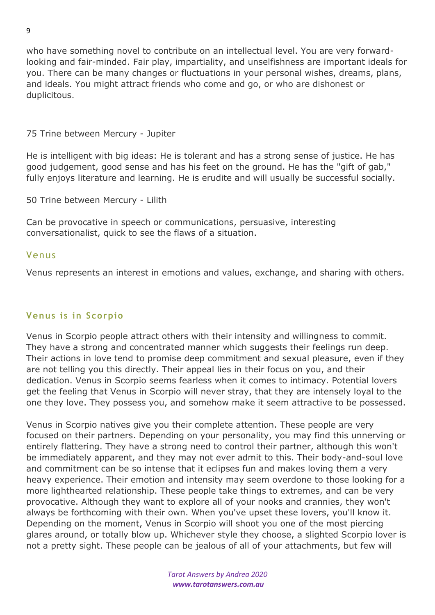who have something novel to contribute on an intellectual level. You are very forwardlooking and fair-minded. Fair play, impartiality, and unselfishness are important ideals for you. There can be many changes or fluctuations in your personal wishes, dreams, plans, and ideals. You might attract friends who come and go, or who are dishonest or duplicitous.

75 Trine between Mercury - Jupiter

He is intelligent with big ideas: He is tolerant and has a strong sense of justice. He has good judgement, good sense and has his feet on the ground. He has the "gift of gab," fully enjoys literature and learning. He is erudite and will usually be successful socially.

50 Trine between Mercury - Lilith

Can be provocative in speech or communications, persuasive, interesting conversationalist, quick to see the flaws of a situation.

### Venus

Venus represents an interest in emotions and values, exchange, and sharing with others.

#### **Venus is in Scorpio**

Venus in Scorpio people attract others with their intensity and willingness to commit. They have a strong and concentrated manner which suggests their feelings run deep. Their actions in love tend to promise deep commitment and sexual pleasure, even if they are not telling you this directly. Their appeal lies in their focus on you, and their dedication. Venus in Scorpio seems fearless when it comes to intimacy. Potential lovers get the feeling that Venus in Scorpio will never stray, that they are intensely loyal to the one they love. They possess you, and somehow make it seem attractive to be possessed.

Venus in Scorpio natives give you their complete attention. These people are very focused on their partners. Depending on your personality, you may find this unnerving or entirely flattering. They have a strong need to control their partner, although this won't be immediately apparent, and they may not ever admit to this. Their body-and-soul love and commitment can be so intense that it eclipses fun and makes loving them a very heavy experience. Their emotion and intensity may seem overdone to those looking for a more lighthearted relationship. These people take things to extremes, and can be very provocative. Although they want to explore all of your nooks and crannies, they won't always be forthcoming with their own. When you've upset these lovers, you'll know it. Depending on the moment, Venus in Scorpio will shoot you one of the most piercing glares around, or totally blow up. Whichever style they choose, a slighted Scorpio lover is not a pretty sight. These people can be jealous of all of your attachments, but few will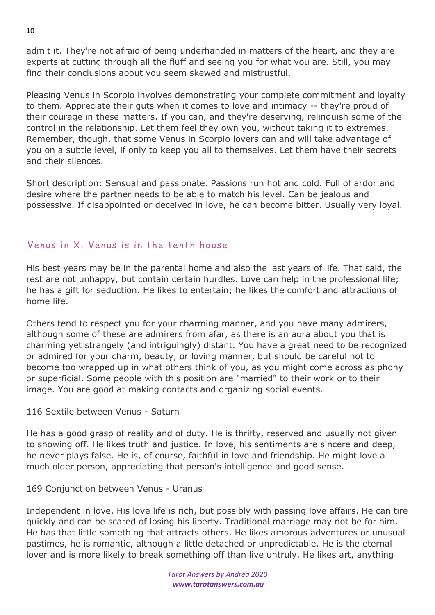admit it. They're not afraid of being underhanded in matters of the heart, and they are experts at cutting through all the fluff and seeing you for what you are. Still, you may find their conclusions about you seem skewed and mistrustful.

Pleasing Venus in Scorpio involves demonstrating your complete commitment and loyalty to them. Appreciate their guts when it comes to love and intimacy -- they're proud of their courage in these matters. If you can, and they're deserving, relinquish some of the control in the relationship. Let them feel they own you, without taking it to extremes. Remember, though, that some Venus in Scorpio lovers can and will take advantage of you on a subtle level, if only to keep you all to themselves. Let them have their secrets and their silences.

Short description: Sensual and passionate. Passions run hot and cold. Full of ardor and desire where the partner needs to be able to match his level. Can be jealous and possessive. If disappointed or deceived in love, he can become bitter. Usually very loyal.

## Venus in X: Venus is in the tenth house

His best years may be in the parental home and also the last years of life. That said, the rest are not unhappy, but contain certain hurdles. Love can help in the professional life; he has a gift for seduction. He likes to entertain; he likes the comfort and attractions of home life.

Others tend to respect you for your charming manner, and you have many admirers, although some of these are admirers from afar, as there is an aura about you that is charming yet strangely (and intriguingly) distant. You have a great need to be recognized or admired for your charm, beauty, or loving manner, but should be careful not to become too wrapped up in what others think of you, as you might come across as phony or superficial. Some people with this position are "married" to their work or to their image. You are good at making contacts and organizing social events.

#### 116 Sextile between Venus - Saturn

He has a good grasp of reality and of duty. He is thrifty, reserved and usually not given to showing off. He likes truth and justice. In love, his sentiments are sincere and deep, he never plays false. He is, of course, faithful in love and friendship. He might love a much older person, appreciating that person's intelligence and good sense.

#### 169 Conjunction between Venus - Uranus

Independent in love. His love life is rich, but possibly with passing love affairs. He can tire quickly and can be scared of losing his liberty. Traditional marriage may not be for him. He has that little something that attracts others. He likes amorous adventures or unusual pastimes, he is romantic, although a little detached or unpredictable. He is the eternal lover and is more likely to break something off than live untruly. He likes art, anything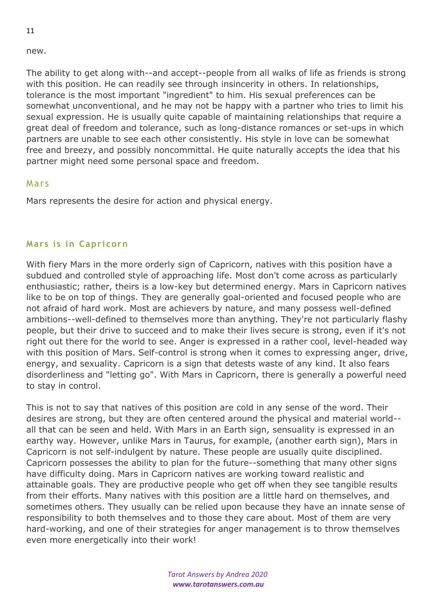new.

The ability to get along with--and accept--people from all walks of life as friends is strong with this position. He can readily see through insincerity in others. In relationships, tolerance is the most important "ingredient" to him. His sexual preferences can be somewhat unconventional, and he may not be happy with a partner who tries to limit his sexual expression. He is usually quite capable of maintaining relationships that require a great deal of freedom and tolerance, such as long-distance romances or set-ups in which partners are unable to see each other consistently. His style in love can be somewhat free and breezy, and possibly noncommittal. He quite naturally accepts the idea that his partner might need some personal space and freedom.

### Mars

Mars represents the desire for action and physical energy.

## **Mars is in Capricorn**

With fiery Mars in the more orderly sign of Capricorn, natives with this position have a subdued and controlled style of approaching life. Most don't come across as particularly enthusiastic; rather, theirs is a low-key but determined energy. Mars in Capricorn natives like to be on top of things. They are generally goal-oriented and focused people who are not afraid of hard work. Most are achievers by nature, and many possess well-defined ambitions--well-defined to themselves more than anything. They're not particularly flashy people, but their drive to succeed and to make their lives secure is strong, even if it's not right out there for the world to see. Anger is expressed in a rather cool, level-headed way with this position of Mars. Self-control is strong when it comes to expressing anger, drive, energy, and sexuality. Capricorn is a sign that detests waste of any kind. It also fears disorderliness and "letting go". With Mars in Capricorn, there is generally a powerful need to stay in control.

This is not to say that natives of this position are cold in any sense of the word. Their desires are strong, but they are often centered around the physical and material world- all that can be seen and held. With Mars in an Earth sign, sensuality is expressed in an earthy way. However, unlike Mars in Taurus, for example, (another earth sign), Mars in Capricorn is not self-indulgent by nature. These people are usually quite disciplined. Capricorn possesses the ability to plan for the future--something that many other signs have difficulty doing. Mars in Capricorn natives are working toward realistic and attainable goals. They are productive people who get off when they see tangible results from their efforts. Many natives with this position are a little hard on themselves, and sometimes others. They usually can be relied upon because they have an innate sense of responsibility to both themselves and to those they care about. Most of them are very hard-working, and one of their strategies for anger management is to throw themselves even more energetically into their work!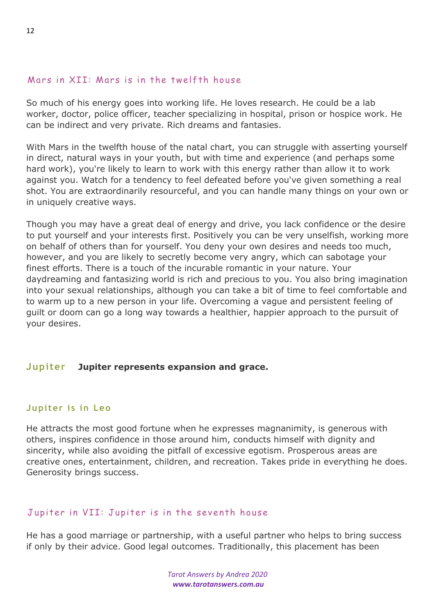### Mars in XII: Mars is in the twelfth house

So much of his energy goes into working life. He loves research. He could be a lab worker, doctor, police officer, teacher specializing in hospital, prison or hospice work. He can be indirect and very private. Rich dreams and fantasies.

With Mars in the twelfth house of the natal chart, you can struggle with asserting yourself in direct, natural ways in your youth, but with time and experience (and perhaps some hard work), you're likely to learn to work with this energy rather than allow it to work against you. Watch for a tendency to feel defeated before you've given something a real shot. You are extraordinarily resourceful, and you can handle many things on your own or in uniquely creative ways.

Though you may have a great deal of energy and drive, you lack confidence or the desire to put yourself and your interests first. Positively you can be very unselfish, working more on behalf of others than for yourself. You deny your own desires and needs too much, however, and you are likely to secretly become very angry, which can sabotage your finest efforts. There is a touch of the incurable romantic in your nature. Your daydreaming and fantasizing world is rich and precious to you. You also bring imagination into your sexual relationships, although you can take a bit of time to feel comfortable and to warm up to a new person in your life. Overcoming a vague and persistent feeling of guilt or doom can go a long way towards a healthier, happier approach to the pursuit of your desires.

## **Jupiter Jupiter represents expansion and grace.**

#### **Jupiter is in Leo**

He attracts the most good fortune when he expresses magnanimity, is generous with others, inspires confidence in those around him, conducts himself with dignity and sincerity, while also avoiding the pitfall of excessive egotism. Prosperous areas are creative ones, entertainment, children, and recreation. Takes pride in everything he does. Generosity brings success.

#### Jupiter in VII: Jupiter is in the seventh house

He has a good marriage or partnership, with a useful partner who helps to bring success if only by their advice. Good legal outcomes. Traditionally, this placement has been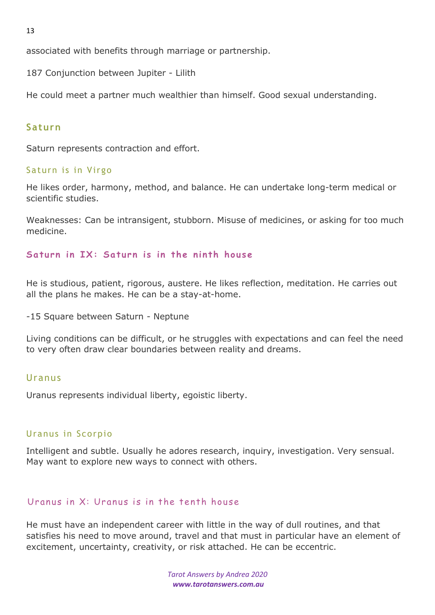associated with benefits through marriage or partnership.

187 Conjunction between Jupiter - Lilith

He could meet a partner much wealthier than himself. Good sexual understanding.

### **Saturn**

Saturn represents contraction and effort.

#### Saturn is in Virgo

He likes order, harmony, method, and balance. He can undertake long-term medical or scientific studies.

Weaknesses: Can be intransigent, stubborn. Misuse of medicines, or asking for too much medicine.

#### Saturn in IX: Saturn is in the ninth house

He is studious, patient, rigorous, austere. He likes reflection, meditation. He carries out all the plans he makes. He can be a stay-at-home.

-15 Square between Saturn - Neptune

Living conditions can be difficult, or he struggles with expectations and can feel the need to very often draw clear boundaries between reality and dreams.

## Uranus

Uranus represents individual liberty, egoistic liberty.

#### Uranus in Scorpio

Intelligent and subtle. Usually he adores research, inquiry, investigation. Very sensual. May want to explore new ways to connect with others.

## Uranus in X: Uranus is in the tenth house

He must have an independent career with little in the way of dull routines, and that satisfies his need to move around, travel and that must in particular have an element of excitement, uncertainty, creativity, or risk attached. He can be eccentric.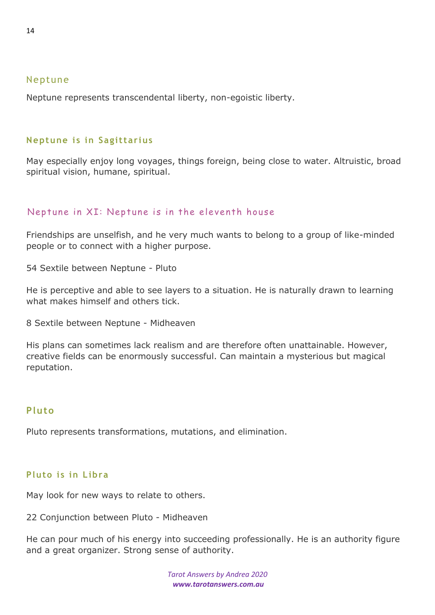## Neptune

Neptune represents transcendental liberty, non-egoistic liberty.

## **Neptune is in Sagittarius**

May especially enjoy long voyages, things foreign, being close to water. Altruistic, broad spiritual vision, humane, spiritual.

# Neptune in XI: Neptune is in the eleventh house

Friendships are unselfish, and he very much wants to belong to a group of like-minded people or to connect with a higher purpose.

54 Sextile between Neptune - Pluto

He is perceptive and able to see layers to a situation. He is naturally drawn to learning what makes himself and others tick.

8 Sextile between Neptune - Midheaven

His plans can sometimes lack realism and are therefore often unattainable. However, creative fields can be enormously successful. Can maintain a mysterious but magical reputation.

## **Pluto**

Pluto represents transformations, mutations, and elimination.

#### **Pluto is in Libra**

May look for new ways to relate to others.

22 Conjunction between Pluto - Midheaven

He can pour much of his energy into succeeding professionally. He is an authority figure and a great organizer. Strong sense of authority.

> *Tarot Answers by Andrea 2020 www.tarotanswers.com.au*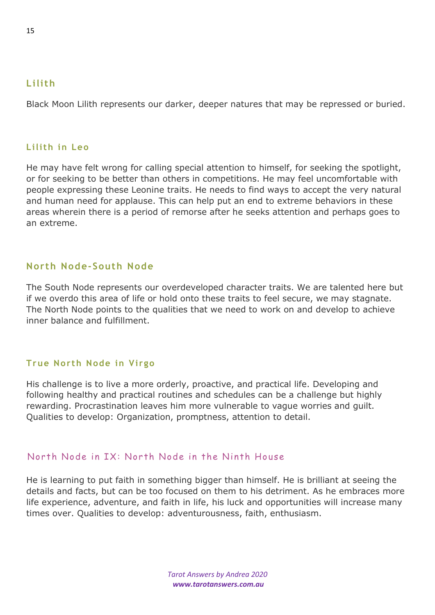# **Lilith**

Black Moon Lilith represents our darker, deeper natures that may be repressed or buried.

# **Lilith in Leo**

He may have felt wrong for calling special attention to himself, for seeking the spotlight, or for seeking to be better than others in competitions. He may feel uncomfortable with people expressing these Leonine traits. He needs to find ways to accept the very natural and human need for applause. This can help put an end to extreme behaviors in these areas wherein there is a period of remorse after he seeks attention and perhaps goes to an extreme.

# **North Node-South Node**

The South Node represents our overdeveloped character traits. We are talented here but if we overdo this area of life or hold onto these traits to feel secure, we may stagnate. The North Node points to the qualities that we need to work on and develop to achieve inner balance and fulfillment.

# **True North Node in Virgo**

His challenge is to live a more orderly, proactive, and practical life. Developing and following healthy and practical routines and schedules can be a challenge but highly rewarding. Procrastination leaves him more vulnerable to vague worries and guilt. Qualities to develop: Organization, promptness, attention to detail.

# North Node in IX: North Node in the Ninth House

He is learning to put faith in something bigger than himself. He is brilliant at seeing the details and facts, but can be too focused on them to his detriment. As he embraces more life experience, adventure, and faith in life, his luck and opportunities will increase many times over. Qualities to develop: adventurousness, faith, enthusiasm.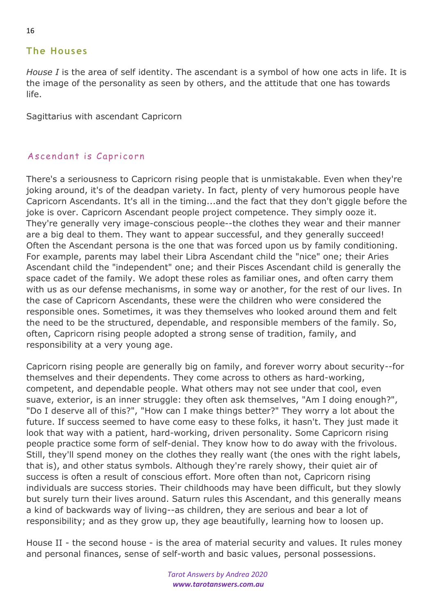## **The Houses**

*House I* is the area of self identity. The ascendant is a symbol of how one acts in life. It is the image of the personality as seen by others, and the attitude that one has towards life.

Sagittarius with ascendant Capricorn

## Ascendant is Capricorn

There's a seriousness to Capricorn rising people that is unmistakable. Even when they're joking around, it's of the deadpan variety. In fact, plenty of very humorous people have Capricorn Ascendants. It's all in the timing...and the fact that they don't giggle before the joke is over. Capricorn Ascendant people project competence. They simply ooze it. They're generally very image-conscious people--the clothes they wear and their manner are a big deal to them. They want to appear successful, and they generally succeed! Often the Ascendant persona is the one that was forced upon us by family conditioning. For example, parents may label their Libra Ascendant child the "nice" one; their Aries Ascendant child the "independent" one; and their Pisces Ascendant child is generally the space cadet of the family. We adopt these roles as familiar ones, and often carry them with us as our defense mechanisms, in some way or another, for the rest of our lives. In the case of Capricorn Ascendants, these were the children who were considered the responsible ones. Sometimes, it was they themselves who looked around them and felt the need to be the structured, dependable, and responsible members of the family. So, often, Capricorn rising people adopted a strong sense of tradition, family, and responsibility at a very young age.

Capricorn rising people are generally big on family, and forever worry about security--for themselves and their dependents. They come across to others as hard-working, competent, and dependable people. What others may not see under that cool, even suave, exterior, is an inner struggle: they often ask themselves, "Am I doing enough?", "Do I deserve all of this?", "How can I make things better?" They worry a lot about the future. If success seemed to have come easy to these folks, it hasn't. They just made it look that way with a patient, hard-working, driven personality. Some Capricorn rising people practice some form of self-denial. They know how to do away with the frivolous. Still, they'll spend money on the clothes they really want (the ones with the right labels, that is), and other status symbols. Although they're rarely showy, their quiet air of success is often a result of conscious effort. More often than not, Capricorn rising individuals are success stories. Their childhoods may have been difficult, but they slowly but surely turn their lives around. Saturn rules this Ascendant, and this generally means a kind of backwards way of living--as children, they are serious and bear a lot of responsibility; and as they grow up, they age beautifully, learning how to loosen up.

House II - the second house - is the area of material security and values. It rules money and personal finances, sense of self-worth and basic values, personal possessions.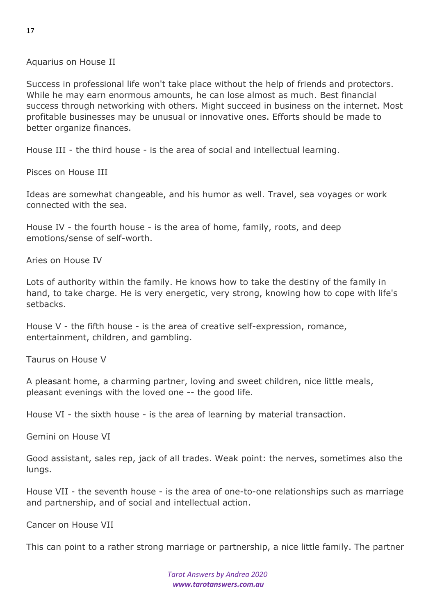Aquarius on House II

Success in professional life won't take place without the help of friends and protectors. While he may earn enormous amounts, he can lose almost as much. Best financial success through networking with others. Might succeed in business on the internet. Most profitable businesses may be unusual or innovative ones. Efforts should be made to better organize finances.

House III - the third house - is the area of social and intellectual learning.

Pisces on House III

Ideas are somewhat changeable, and his humor as well. Travel, sea voyages or work connected with the sea.

House IV - the fourth house - is the area of home, family, roots, and deep emotions/sense of self-worth.

Aries on House IV

Lots of authority within the family. He knows how to take the destiny of the family in hand, to take charge. He is very energetic, very strong, knowing how to cope with life's setbacks.

House V - the fifth house - is the area of creative self-expression, romance, entertainment, children, and gambling.

Taurus on House V

A pleasant home, a charming partner, loving and sweet children, nice little meals, pleasant evenings with the loved one -- the good life.

House VI - the sixth house - is the area of learning by material transaction.

Gemini on House VI

Good assistant, sales rep, jack of all trades. Weak point: the nerves, sometimes also the lungs.

House VII - the seventh house - is the area of one-to-one relationships such as marriage and partnership, and of social and intellectual action.

Cancer on House VII

This can point to a rather strong marriage or partnership, a nice little family. The partner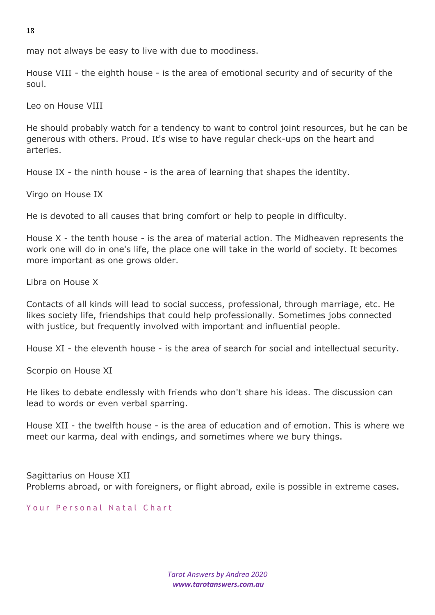18

may not always be easy to live with due to moodiness.

House VIII - the eighth house - is the area of emotional security and of security of the soul.

Leo on House VIII

He should probably watch for a tendency to want to control joint resources, but he can be generous with others. Proud. It's wise to have regular check-ups on the heart and arteries.

House IX - the ninth house - is the area of learning that shapes the identity.

Virgo on House IX

He is devoted to all causes that bring comfort or help to people in difficulty.

House X - the tenth house - is the area of material action. The Midheaven represents the work one will do in one's life, the place one will take in the world of society. It becomes more important as one grows older.

Libra on House X

Contacts of all kinds will lead to social success, professional, through marriage, etc. He likes society life, friendships that could help professionally. Sometimes jobs connected with justice, but frequently involved with important and influential people.

House XI - the eleventh house - is the area of search for social and intellectual security.

Scorpio on House XI

He likes to debate endlessly with friends who don't share his ideas. The discussion can lead to words or even verbal sparring.

House XII - the twelfth house - is the area of education and of emotion. This is where we meet our karma, deal with endings, and sometimes where we bury things.

Sagittarius on House XII Problems abroad, or with foreigners, or flight abroad, exile is possible in extreme cases.

Your Personal Natal Chart